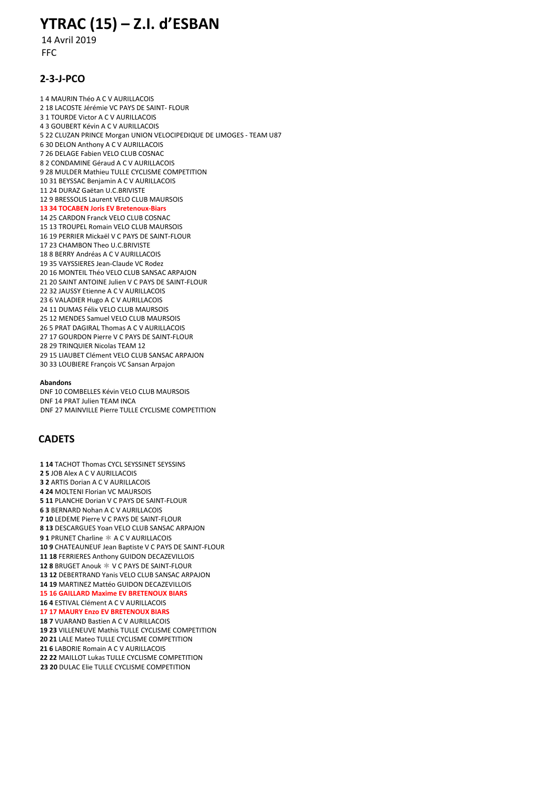# YTRAC (15) – Z.I. d'ESBAN

 14 Avril 2019 FFC

## 2-3-J-PCO

1 4 MAURIN Théo A C V AURILLACOIS 2 18 LACOSTE Jérémie VC PAYS DE SAINT- FLOUR 3 1 TOURDE Victor A C V AURILLACOIS 4 3 GOUBERT Kévin A C V AURILLACOIS 5 22 CLUZAN PRINCE Morgan UNION VELOCIPEDIQUE DE LIMOGES - TEAM U87 6 30 DELON Anthony A C V AURILLACOIS 7 26 DELAGE Fabien VELO CLUB COSNAC 8 2 CONDAMINE Géraud A C V AURILLACOIS 9 28 MULDER Mathieu TULLE CYCLISME COMPETITION 10 31 BEYSSAC Benjamin A C V AURILLACOIS 11 24 DURAZ Gaëtan U.C.BRIVISTE 12 9 BRESSOLIS Laurent VELO CLUB MAURSOIS 13 34 TOCABEN Joris EV Bretenoux-Biars 14 25 CARDON Franck VELO CLUB COSNAC 15 13 TROUPEL Romain VELO CLUB MAURSOIS 16 19 PERRIER Mickaël V C PAYS DE SAINT-FLOUR 17 23 CHAMBON Theo U.C.BRIVISTE 18 8 BERRY Andréas A C V AURILLACOIS 19 35 VAYSSIERES Jean-Claude VC Rodez 20 16 MONTEIL Théo VELO CLUB SANSAC ARPAJON 21 20 SAINT ANTOINE Julien V C PAYS DE SAINT-FLOUR 22 32 JAUSSY Etienne A C V AURILLACOIS 23 6 VALADIER Hugo A C V AURILLACOIS 24 11 DUMAS Félix VELO CLUB MAURSOIS 25 12 MENDES Samuel VELO CLUB MAURSOIS 26 5 PRAT DAGIRAL Thomas A C V AURILLACOIS 27 17 GOURDON Pierre V C PAYS DE SAINT-FLOUR 28 29 TRINQUIER Nicolas TEAM 12 29 15 LIAUBET Clément VELO CLUB SANSAC ARPAJON 30 33 LOUBIERE François VC Sansan Arpajon

#### Abandons

DNF 10 COMBELLES Kévin VELO CLUB MAURSOIS DNF 14 PRAT Julien TEAM INCA DNF 27 MAINVILLE Pierre TULLE CYCLISME COMPETITION

## **CADETS**

1 14 TACHOT Thomas CYCL SEYSSINET SEYSSINS 2 5 JOB Alex A C V AURILLACOIS 3 2 ARTIS Dorian A C V AURILLACOIS 4 24 MOLTENI Florian VC MAURSOIS 5 11 PLANCHE Dorian V C PAYS DE SAINT-FLOUR 6 3 BERNARD Nohan A C V AURILLACOIS 7 10 LEDEME Pierre V C PAYS DE SAINT-FLOUR 8 13 DESCARGUES Yoan VELO CLUB SANSAC ARPAJON 91 PRUNET Charline  $*$  A C V AURILLACOIS 10 9 CHATEAUNEUF Jean Baptiste V C PAYS DE SAINT-FLOUR 11 18 FERRIERES Anthony GUIDON DECAZEVILLOIS 12 8 BRUGET Anouk  $*$  V C PAYS DE SAINT-FLOUR 13 12 DEBERTRAND Yanis VELO CLUB SANSAC ARPAJON 14 19 MARTINEZ Mattéo GUIDON DECAZEVILLOIS 15 16 GAILLARD Maxime EV BRETENOUX BIARS 16 4 ESTIVAL Clément A C V AURILLACOIS 17 17 MAURY Enzo EV BRETENOUX BIARS 18 7 VUARAND Bastien A C V AURILLACOIS 19 23 VILLENEUVE Mathis TULLE CYCLISME COMPETITION 20 21 LALE Mateo TULLE CYCLISME COMPETITION 21 6 LABORIE Romain A C V AURILLACOIS 22 22 MAILLOT Lukas TULLE CYCLISME COMPETITION 23 20 DULAC Elie TULLE CYCLISME COMPETITION